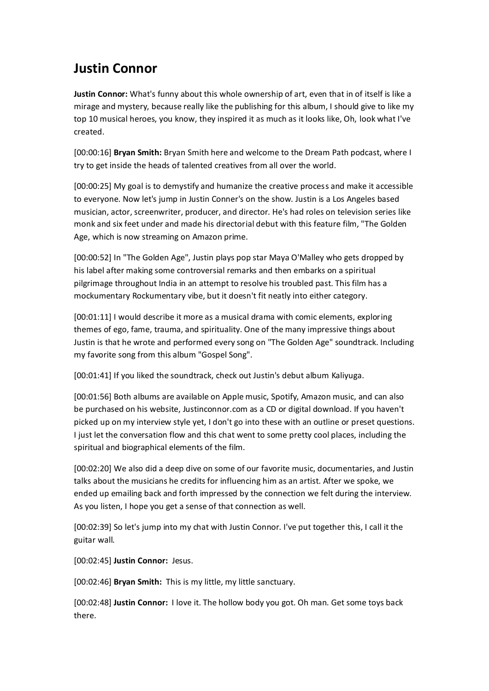## **Justin Connor**

**Justin Connor:** What's funny about this whole ownership of art, even that in of itself is like a mirage and mystery, because really like the publishing for this album, I should give to like my top 10 musical heroes, you know, they inspired it as much as it looks like, Oh, look what I've created.

[00:00:16] **Bryan Smith:** Bryan Smith here and welcome to the Dream Path podcast, where I try to get inside the heads of talented creatives from all over the world.

[00:00:25] My goal is to demystify and humanize the creative process and make it accessible to everyone. Now let's jump in Justin Conner's on the show. Justin is a Los Angeles based musician, actor, screenwriter, producer, and director. He's had roles on television series like monk and six feet under and made his directorial debut with this feature film, "The Golden Age, which is now streaming on Amazon prime.

[00:00:52] In "The Golden Age", Justin plays pop star Maya O'Malley who gets dropped by his label after making some controversial remarks and then embarks on a spiritual pilgrimage throughout India in an attempt to resolve his troubled past. This film has a mockumentary Rockumentary vibe, but it doesn't fit neatly into either category.

[00:01:11] I would describe it more as a musical drama with comic elements, exploring themes of ego, fame, trauma, and spirituality. One of the many impressive things about Justin is that he wrote and performed every song on "The Golden Age" soundtrack. Including my favorite song from this album "Gospel Song".

[00:01:41] If you liked the soundtrack, check out Justin's debut album Kaliyuga.

[00:01:56] Both albums are available on Apple music, Spotify, Amazon music, and can also be purchased on his website, Justinconnor.com as a CD or digital download. If you haven't picked up on my interview style yet, I don't go into these with an outline or preset questions. I just let the conversation flow and this chat went to some pretty cool places, including the spiritual and biographical elements of the film.

[00:02:20] We also did a deep dive on some of our favorite music, documentaries, and Justin talks about the musicians he credits for influencing him as an artist. After we spoke, we ended up emailing back and forth impressed by the connection we felt during the interview. As you listen, I hope you get a sense of that connection as well.

[00:02:39] So let's jump into my chat with Justin Connor. I've put together this, I call it the guitar wall.

[00:02:45] **Justin Connor:** Jesus.

[00:02:46] **Bryan Smith:** This is my little, my little sanctuary.

[00:02:48] **Justin Connor:** I love it. The hollow body you got. Oh man. Get some toys back there.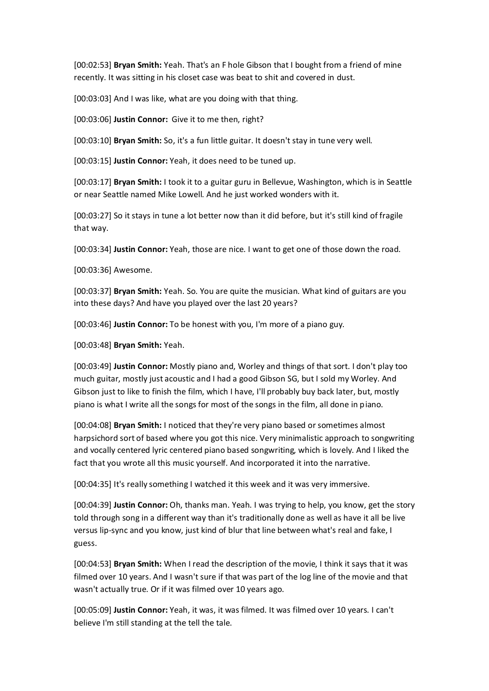[00:02:53] **Bryan Smith:** Yeah. That's an F hole Gibson that I bought from a friend of mine recently. It was sitting in his closet case was beat to shit and covered in dust.

[00:03:03] And I was like, what are you doing with that thing.

[00:03:06] **Justin Connor:** Give it to me then, right?

[00:03:10] **Bryan Smith:** So, it's a fun little guitar. It doesn't stay in tune very well.

[00:03:15] **Justin Connor:** Yeah, it does need to be tuned up.

[00:03:17] **Bryan Smith:** I took it to a guitar guru in Bellevue, Washington, which is in Seattle or near Seattle named Mike Lowell. And he just worked wonders with it.

[00:03:27] So it stays in tune a lot better now than it did before, but it's still kind of fragile that way.

[00:03:34] **Justin Connor:** Yeah, those are nice. I want to get one of those down the road.

[00:03:36] Awesome.

[00:03:37] **Bryan Smith:** Yeah. So. You are quite the musician. What kind of guitars are you into these days? And have you played over the last 20 years?

[00:03:46] **Justin Connor:** To be honest with you, I'm more of a piano guy.

[00:03:48] **Bryan Smith:** Yeah.

[00:03:49] **Justin Connor:** Mostly piano and, Worley and things of that sort. I don't play too much guitar, mostly just acoustic and I had a good Gibson SG, but I sold my Worley. And Gibson just to like to finish the film, which I have, I'll probably buy back later, but, mostly piano is what I write all the songs for most of the songs in the film, all done in piano.

[00:04:08] **Bryan Smith:** I noticed that they're very piano based or sometimes almost harpsichord sort of based where you got this nice. Very minimalistic approach to songwriting and vocally centered lyric centered piano based songwriting, which is lovely. And I liked the fact that you wrote all this music yourself. And incorporated it into the narrative.

[00:04:35] It's really something I watched it this week and it was very immersive.

[00:04:39] **Justin Connor:** Oh, thanks man. Yeah. I was trying to help, you know, get the story told through song in a different way than it's traditionally done as well as have it all be live versus lip-sync and you know, just kind of blur that line between what's real and fake, I guess.

[00:04:53] **Bryan Smith:** When I read the description of the movie, I think it says that it was filmed over 10 years. And I wasn't sure if that was part of the log line of the movie and that wasn't actually true. Or if it was filmed over 10 years ago.

[00:05:09] **Justin Connor:** Yeah, it was, it was filmed. It was filmed over 10 years. I can't believe I'm still standing at the tell the tale.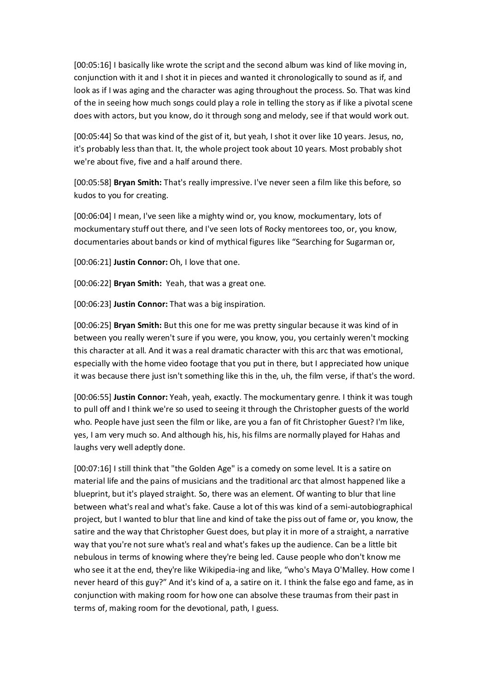[00:05:16] I basically like wrote the script and the second album was kind of like moving in, conjunction with it and I shot it in pieces and wanted it chronologically to sound as if, and look as if I was aging and the character was aging throughout the process. So. That was kind of the in seeing how much songs could play a role in telling the story as if like a pivotal scene does with actors, but you know, do it through song and melody, see if that would work out.

[00:05:44] So that was kind of the gist of it, but yeah, I shot it over like 10 years. Jesus, no, it's probably less than that. It, the whole project took about 10 years. Most probably shot we're about five, five and a half around there.

[00:05:58] **Bryan Smith:** That's really impressive. I've never seen a film like this before, so kudos to you for creating.

[00:06:04] I mean, I've seen like a mighty wind or, you know, mockumentary, lots of mockumentary stuff out there, and I've seen lots of Rocky mentorees too, or, you know, documentaries about bands or kind of mythical figures like "Searching for Sugarman or,

[00:06:21] **Justin Connor:** Oh, I love that one.

[00:06:22] **Bryan Smith:** Yeah, that was a great one.

[00:06:23] **Justin Connor:** That was a big inspiration.

[00:06:25] **Bryan Smith:** But this one for me was pretty singular because it was kind of in between you really weren't sure if you were, you know, you, you certainly weren't mocking this character at all. And it was a real dramatic character with this arc that was emotional, especially with the home video footage that you put in there, but I appreciated how unique it was because there just isn't something like this in the, uh, the film verse, if that's the word.

[00:06:55] **Justin Connor:** Yeah, yeah, exactly. The mockumentary genre. I think it was tough to pull off and I think we're so used to seeing it through the Christopher guests of the world who. People have just seen the film or like, are you a fan of fit Christopher Guest? I'm like, yes, I am very much so. And although his, his, his films are normally played for Hahas and laughs very well adeptly done.

[00:07:16] I still think that "the Golden Age" is a comedy on some level. It is a satire on material life and the pains of musicians and the traditional arc that almost happened like a blueprint, but it's played straight. So, there was an element. Of wanting to blur that line between what's real and what's fake. Cause a lot of this was kind of a semi-autobiographical project, but I wanted to blur that line and kind of take the piss out of fame or, you know, the satire and the way that Christopher Guest does, but play it in more of a straight, a narrative way that you're not sure what's real and what's fakes up the audience. Can be a little bit nebulous in terms of knowing where they're being led. Cause people who don't know me who see it at the end, they're like Wikipedia-ing and like, "who's Maya O'Malley. How come I never heard of this guy?" And it's kind of a, a satire on it. I think the false ego and fame, as in conjunction with making room for how one can absolve these traumas from their past in terms of, making room for the devotional, path, I guess.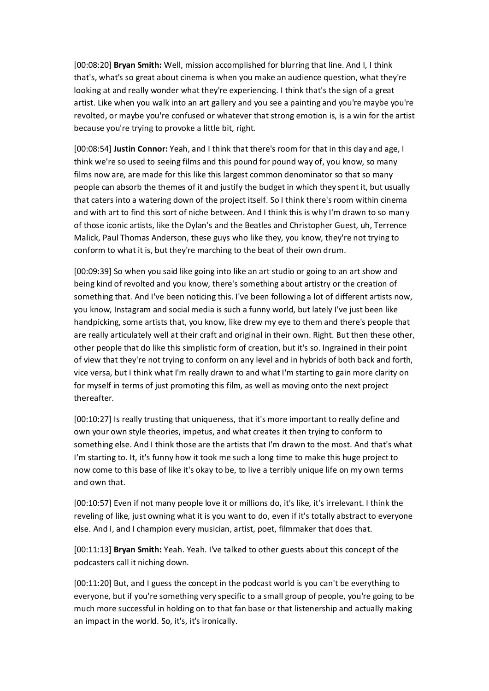[00:08:20] **Bryan Smith:** Well, mission accomplished for blurring that line. And I, I think that's, what's so great about cinema is when you make an audience question, what they're looking at and really wonder what they're experiencing. I think that's the sign of a great artist. Like when you walk into an art gallery and you see a painting and you're maybe you're revolted, or maybe you're confused or whatever that strong emotion is, is a win for the artist because you're trying to provoke a little bit, right.

[00:08:54] **Justin Connor:** Yeah, and I think that there's room for that in this day and age, I think we're so used to seeing films and this pound for pound way of, you know, so many films now are, are made for this like this largest common denominator so that so many people can absorb the themes of it and justify the budget in which they spent it, but usually that caters into a watering down of the project itself. So I think there's room within cinema and with art to find this sort of niche between. And I think this is why I'm drawn to so many of those iconic artists, like the Dylan's and the Beatles and Christopher Guest, uh, Terrence Malick, Paul Thomas Anderson, these guys who like they, you know, they're not trying to conform to what it is, but they're marching to the beat of their own drum.

[00:09:39] So when you said like going into like an art studio or going to an art show and being kind of revolted and you know, there's something about artistry or the creation of something that. And I've been noticing this. I've been following a lot of different artists now, you know, Instagram and social media is such a funny world, but lately I've just been like handpicking, some artists that, you know, like drew my eye to them and there's people that are really articulately well at their craft and original in their own. Right. But then these other, other people that do like this simplistic form of creation, but it's so. Ingrained in their point of view that they're not trying to conform on any level and in hybrids of both back and forth, vice versa, but I think what I'm really drawn to and what I'm starting to gain more clarity on for myself in terms of just promoting this film, as well as moving onto the next project thereafter.

[00:10:27] Is really trusting that uniqueness, that it's more important to really define and own your own style theories, impetus, and what creates it then trying to conform to something else. And I think those are the artists that I'm drawn to the most. And that's what I'm starting to. It, it's funny how it took me such a long time to make this huge project to now come to this base of like it's okay to be, to live a terribly unique life on my own terms and own that.

[00:10:57] Even if not many people love it or millions do, it's like, it's irrelevant. I think the reveling of like, just owning what it is you want to do, even if it's totally abstract to everyone else. And I, and I champion every musician, artist, poet, filmmaker that does that.

[00:11:13] **Bryan Smith:** Yeah. Yeah. I've talked to other guests about this concept of the podcasters call it niching down.

[00:11:20] But, and I guess the concept in the podcast world is you can't be everything to everyone, but if you're something very specific to a small group of people, you're going to be much more successful in holding on to that fan base or that listenership and actually making an impact in the world. So, it's, it's ironically.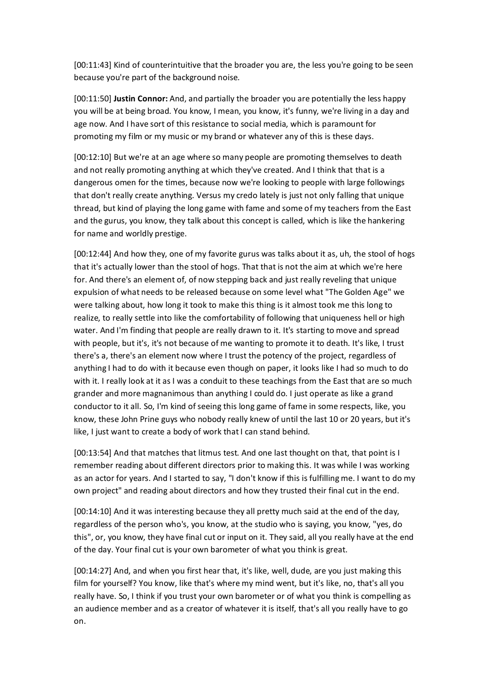[00:11:43] Kind of counterintuitive that the broader you are, the less you're going to be seen because you're part of the background noise.

[00:11:50] **Justin Connor:** And, and partially the broader you are potentially the less happy you will be at being broad. You know, I mean, you know, it's funny, we're living in a day and age now. And I have sort of this resistance to social media, which is paramount for promoting my film or my music or my brand or whatever any of this is these days.

[00:12:10] But we're at an age where so many people are promoting themselves to death and not really promoting anything at which they've created. And I think that that is a dangerous omen for the times, because now we're looking to people with large followings that don't really create anything. Versus my credo lately is just not only falling that unique thread, but kind of playing the long game with fame and some of my teachers from the East and the gurus, you know, they talk about this concept is called, which is like the hankering for name and worldly prestige.

[00:12:44] And how they, one of my favorite gurus was talks about it as, uh, the stool of hogs that it's actually lower than the stool of hogs. That that is not the aim at which we're here for. And there's an element of, of now stepping back and just really reveling that unique expulsion of what needs to be released because on some level what "The Golden Age" we were talking about, how long it took to make this thing is it almost took me this long to realize, to really settle into like the comfortability of following that uniqueness hell or high water. And I'm finding that people are really drawn to it. It's starting to move and spread with people, but it's, it's not because of me wanting to promote it to death. It's like, I trust there's a, there's an element now where I trust the potency of the project, regardless of anything I had to do with it because even though on paper, it looks like I had so much to do with it. I really look at it as I was a conduit to these teachings from the East that are so much grander and more magnanimous than anything I could do. I just operate as like a grand conductor to it all. So, I'm kind of seeing this long game of fame in some respects, like, you know, these John Prine guys who nobody really knew of until the last 10 or 20 years, but it's like, I just want to create a body of work that I can stand behind.

[00:13:54] And that matches that litmus test. And one last thought on that, that point is I remember reading about different directors prior to making this. It was while I was working as an actor for years. And I started to say, "I don't know if this is fulfilling me. I want to do my own project" and reading about directors and how they trusted their final cut in the end.

[00:14:10] And it was interesting because they all pretty much said at the end of the day, regardless of the person who's, you know, at the studio who is saying, you know, "yes, do this", or, you know, they have final cut or input on it. They said, all you really have at the end of the day. Your final cut is your own barometer of what you think is great.

[00:14:27] And, and when you first hear that, it's like, well, dude, are you just making this film for yourself? You know, like that's where my mind went, but it's like, no, that's all you really have. So, I think if you trust your own barometer or of what you think is compelling as an audience member and as a creator of whatever it is itself, that's all you really have to go on.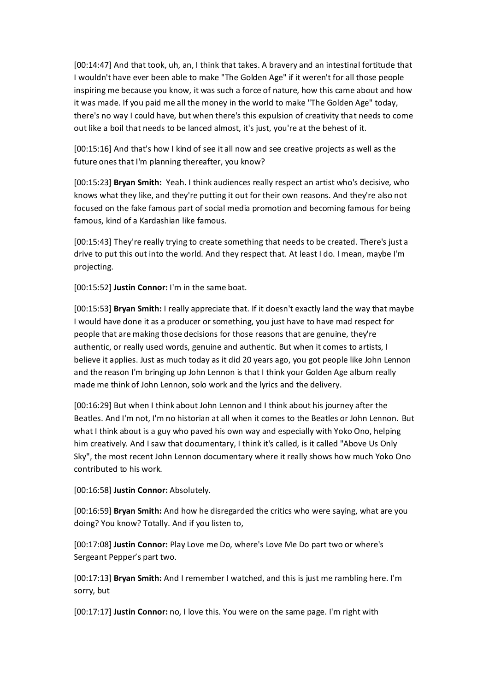[00:14:47] And that took, uh, an, I think that takes. A bravery and an intestinal fortitude that I wouldn't have ever been able to make "The Golden Age" if it weren't for all those people inspiring me because you know, it was such a force of nature, how this came about and how it was made. If you paid me all the money in the world to make "The Golden Age" today, there's no way I could have, but when there's this expulsion of creativity that needs to come out like a boil that needs to be lanced almost, it's just, you're at the behest of it.

[00:15:16] And that's how I kind of see it all now and see creative projects as well as the future ones that I'm planning thereafter, you know?

[00:15:23] **Bryan Smith:** Yeah. I think audiences really respect an artist who's decisive, who knows what they like, and they're putting it out for their own reasons. And they're also not focused on the fake famous part of social media promotion and becoming famous for being famous, kind of a Kardashian like famous.

[00:15:43] They're really trying to create something that needs to be created. There's just a drive to put this out into the world. And they respect that. At least I do. I mean, maybe I'm projecting.

[00:15:52] **Justin Connor:** I'm in the same boat.

[00:15:53] **Bryan Smith:** I really appreciate that. If it doesn't exactly land the way that maybe I would have done it as a producer or something, you just have to have mad respect for people that are making those decisions for those reasons that are genuine, they're authentic, or really used words, genuine and authentic. But when it comes to artists, I believe it applies. Just as much today as it did 20 years ago, you got people like John Lennon and the reason I'm bringing up John Lennon is that I think your Golden Age album really made me think of John Lennon, solo work and the lyrics and the delivery.

[00:16:29] But when I think about John Lennon and I think about his journey after the Beatles. And I'm not, I'm no historian at all when it comes to the Beatles or John Lennon. But what I think about is a guy who paved his own way and especially with Yoko Ono, helping him creatively. And I saw that documentary, I think it's called, is it called "Above Us Only Sky", the most recent John Lennon documentary where it really shows how much Yoko Ono contributed to his work.

[00:16:58] **Justin Connor:** Absolutely.

[00:16:59] **Bryan Smith:** And how he disregarded the critics who were saying, what are you doing? You know? Totally. And if you listen to,

[00:17:08] **Justin Connor:** Play Love me Do, where's Love Me Do part two or where's Sergeant Pepper's part two.

[00:17:13] **Bryan Smith:** And I remember I watched, and this is just me rambling here. I'm sorry, but

[00:17:17] **Justin Connor:** no, I love this. You were on the same page. I'm right with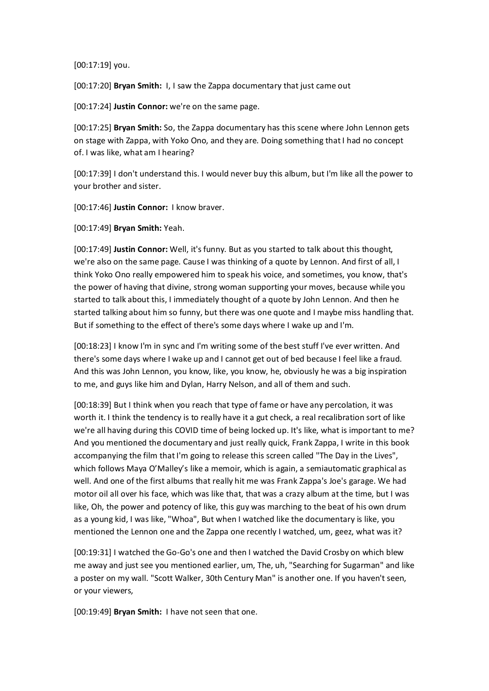[00:17:19] you.

[00:17:20] **Bryan Smith:** I, I saw the Zappa documentary that just came out

[00:17:24] **Justin Connor:** we're on the same page.

[00:17:25] **Bryan Smith:** So, the Zappa documentary has this scene where John Lennon gets on stage with Zappa, with Yoko Ono, and they are. Doing something that I had no concept of. I was like, what am I hearing?

[00:17:39] I don't understand this. I would never buy this album, but I'm like all the power to your brother and sister.

[00:17:46] **Justin Connor:** I know braver.

[00:17:49] **Bryan Smith:** Yeah.

[00:17:49] **Justin Connor:** Well, it's funny. But as you started to talk about this thought, we're also on the same page. Cause I was thinking of a quote by Lennon. And first of all, I think Yoko Ono really empowered him to speak his voice, and sometimes, you know, that's the power of having that divine, strong woman supporting your moves, because while you started to talk about this, I immediately thought of a quote by John Lennon. And then he started talking about him so funny, but there was one quote and I maybe miss handling that. But if something to the effect of there's some days where I wake up and I'm.

[00:18:23] I know I'm in sync and I'm writing some of the best stuff I've ever written. And there's some days where I wake up and I cannot get out of bed because I feel like a fraud. And this was John Lennon, you know, like, you know, he, obviously he was a big inspiration to me, and guys like him and Dylan, Harry Nelson, and all of them and such.

[00:18:39] But I think when you reach that type of fame or have any percolation, it was worth it. I think the tendency is to really have it a gut check, a real recalibration sort of like we're all having during this COVID time of being locked up. It's like, what is important to me? And you mentioned the documentary and just really quick, Frank Zappa, I write in this book accompanying the film that I'm going to release this screen called "The Day in the Lives", which follows Maya O'Malley's like a memoir, which is again, a semiautomatic graphical as well. And one of the first albums that really hit me was Frank Zappa's Joe's garage. We had motor oil all over his face, which was like that, that was a crazy album at the time, but I was like, Oh, the power and potency of like, this guy was marching to the beat of his own drum as a young kid, I was like, "Whoa", But when I watched like the documentary is like, you mentioned the Lennon one and the Zappa one recently I watched, um, geez, what was it?

[00:19:31] I watched the Go-Go's one and then I watched the David Crosby on which blew me away and just see you mentioned earlier, um, The, uh, "Searching for Sugarman" and like a poster on my wall. "Scott Walker, 30th Century Man" is another one. If you haven't seen, or your viewers,

[00:19:49] **Bryan Smith:** I have not seen that one.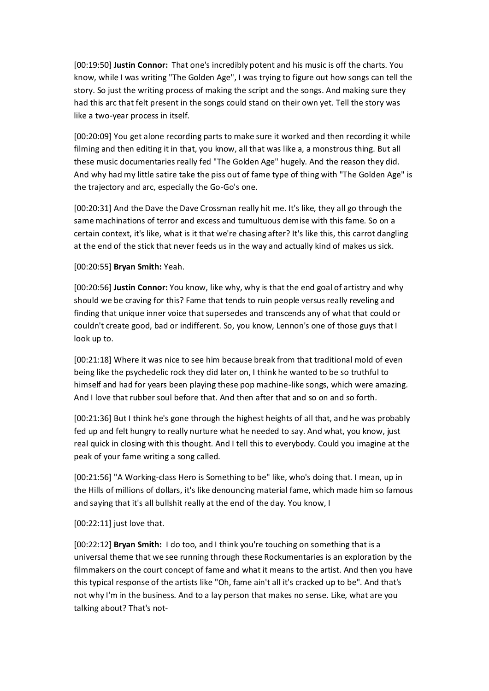[00:19:50] **Justin Connor:** That one's incredibly potent and his music is off the charts. You know, while I was writing "The Golden Age", I was trying to figure out how songs can tell the story. So just the writing process of making the script and the songs. And making sure they had this arc that felt present in the songs could stand on their own yet. Tell the story was like a two-year process in itself.

[00:20:09] You get alone recording parts to make sure it worked and then recording it while filming and then editing it in that, you know, all that was like a, a monstrous thing. But all these music documentaries really fed "The Golden Age" hugely. And the reason they did. And why had my little satire take the piss out of fame type of thing with "The Golden Age" is the trajectory and arc, especially the Go-Go's one.

[00:20:31] And the Dave the Dave Crossman really hit me. It's like, they all go through the same machinations of terror and excess and tumultuous demise with this fame. So on a certain context, it's like, what is it that we're chasing after? It's like this, this carrot dangling at the end of the stick that never feeds us in the way and actually kind of makes us sick.

## [00:20:55] **Bryan Smith:** Yeah.

[00:20:56] **Justin Connor:** You know, like why, why is that the end goal of artistry and why should we be craving for this? Fame that tends to ruin people versus really reveling and finding that unique inner voice that supersedes and transcends any of what that could or couldn't create good, bad or indifferent. So, you know, Lennon's one of those guys that I look up to.

[00:21:18] Where it was nice to see him because break from that traditional mold of even being like the psychedelic rock they did later on, I think he wanted to be so truthful to himself and had for years been playing these pop machine-like songs, which were amazing. And I love that rubber soul before that. And then after that and so on and so forth.

[00:21:36] But I think he's gone through the highest heights of all that, and he was probably fed up and felt hungry to really nurture what he needed to say. And what, you know, just real quick in closing with this thought. And I tell this to everybody. Could you imagine at the peak of your fame writing a song called.

[00:21:56] "A Working-class Hero is Something to be" like, who's doing that. I mean, up in the Hills of millions of dollars, it's like denouncing material fame, which made him so famous and saying that it's all bullshit really at the end of the day. You know, I

## [00:22:11] just love that.

[00:22:12] **Bryan Smith:** I do too, and I think you're touching on something that is a universal theme that we see running through these Rockumentaries is an exploration by the filmmakers on the court concept of fame and what it means to the artist. And then you have this typical response of the artists like "Oh, fame ain't all it's cracked up to be". And that's not why I'm in the business. And to a lay person that makes no sense. Like, what are you talking about? That's not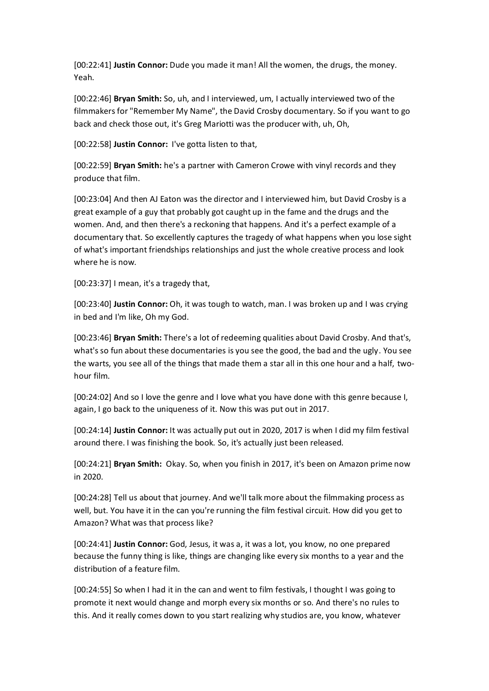[00:22:41] **Justin Connor:** Dude you made it man! All the women, the drugs, the money. Yeah.

[00:22:46] **Bryan Smith:** So, uh, and I interviewed, um, I actually interviewed two of the filmmakers for "Remember My Name", the David Crosby documentary. So if you want to go back and check those out, it's Greg Mariotti was the producer with, uh, Oh,

[00:22:58] **Justin Connor:** I've gotta listen to that,

[00:22:59] **Bryan Smith:** he's a partner with Cameron Crowe with vinyl records and they produce that film.

[00:23:04] And then AJ Eaton was the director and I interviewed him, but David Crosby is a great example of a guy that probably got caught up in the fame and the drugs and the women. And, and then there's a reckoning that happens. And it's a perfect example of a documentary that. So excellently captures the tragedy of what happens when you lose sight of what's important friendships relationships and just the whole creative process and look where he is now.

[00:23:37] I mean, it's a tragedy that,

[00:23:40] **Justin Connor:** Oh, it was tough to watch, man. I was broken up and I was crying in bed and I'm like, Oh my God.

[00:23:46] **Bryan Smith:** There's a lot of redeeming qualities about David Crosby. And that's, what's so fun about these documentaries is you see the good, the bad and the ugly. You see the warts, you see all of the things that made them a star all in this one hour and a half, twohour film.

[00:24:02] And so I love the genre and I love what you have done with this genre because I, again, I go back to the uniqueness of it. Now this was put out in 2017.

[00:24:14] **Justin Connor:** It was actually put out in 2020, 2017 is when I did my film festival around there. I was finishing the book. So, it's actually just been released.

[00:24:21] **Bryan Smith:** Okay. So, when you finish in 2017, it's been on Amazon prime now in 2020.

[00:24:28] Tell us about that journey. And we'll talk more about the filmmaking process as well, but. You have it in the can you're running the film festival circuit. How did you get to Amazon? What was that process like?

[00:24:41] **Justin Connor:** God, Jesus, it was a, it was a lot, you know, no one prepared because the funny thing is like, things are changing like every six months to a year and the distribution of a feature film.

[00:24:55] So when I had it in the can and went to film festivals, I thought I was going to promote it next would change and morph every six months or so. And there's no rules to this. And it really comes down to you start realizing why studios are, you know, whatever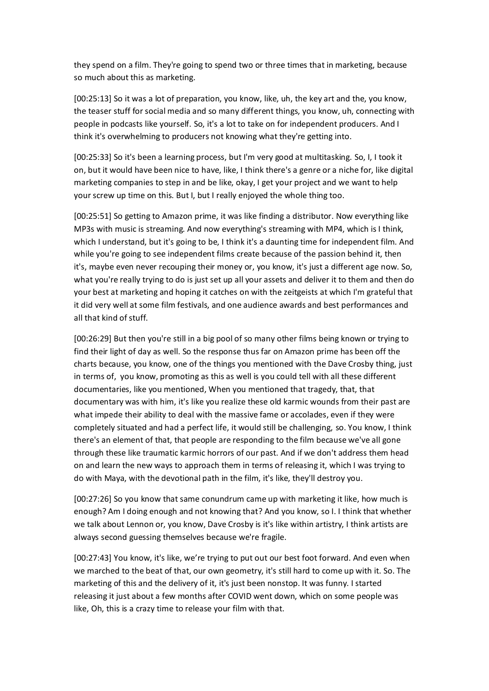they spend on a film. They're going to spend two or three times that in marketing, because so much about this as marketing.

[00:25:13] So it was a lot of preparation, you know, like, uh, the key art and the, you know, the teaser stuff for social media and so many different things, you know, uh, connecting with people in podcasts like yourself. So, it's a lot to take on for independent producers. And I think it's overwhelming to producers not knowing what they're getting into.

[00:25:33] So it's been a learning process, but I'm very good at multitasking. So, I, I took it on, but it would have been nice to have, like, I think there's a genre or a niche for, like digital marketing companies to step in and be like, okay, I get your project and we want to help your screw up time on this. But I, but I really enjoyed the whole thing too.

[00:25:51] So getting to Amazon prime, it was like finding a distributor. Now everything like MP3s with music is streaming. And now everything's streaming with MP4, which is I think, which I understand, but it's going to be, I think it's a daunting time for independent film. And while you're going to see independent films create because of the passion behind it, then it's, maybe even never recouping their money or, you know, it's just a different age now. So, what you're really trying to do is just set up all your assets and deliver it to them and then do your best at marketing and hoping it catches on with the zeitgeists at which I'm grateful that it did very well at some film festivals, and one audience awards and best performances and all that kind of stuff.

[00:26:29] But then you're still in a big pool of so many other films being known or trying to find their light of day as well. So the response thus far on Amazon prime has been off the charts because, you know, one of the things you mentioned with the Dave Crosby thing, just in terms of, you know, promoting as this as well is you could tell with all these different documentaries, like you mentioned, When you mentioned that tragedy, that, that documentary was with him, it's like you realize these old karmic wounds from their past are what impede their ability to deal with the massive fame or accolades, even if they were completely situated and had a perfect life, it would still be challenging, so. You know, I think there's an element of that, that people are responding to the film because we've all gone through these like traumatic karmic horrors of our past. And if we don't address them head on and learn the new ways to approach them in terms of releasing it, which I was trying to do with Maya, with the devotional path in the film, it's like, they'll destroy you.

[00:27:26] So you know that same conundrum came up with marketing it like, how much is enough? Am I doing enough and not knowing that? And you know, so I. I think that whether we talk about Lennon or, you know, Dave Crosby is it's like within artistry, I think artists are always second guessing themselves because we're fragile.

[00:27:43] You know, it's like, we're trying to put out our best foot forward. And even when we marched to the beat of that, our own geometry, it's still hard to come up with it. So. The marketing of this and the delivery of it, it's just been nonstop. It was funny. I started releasing it just about a few months after COVID went down, which on some people was like, Oh, this is a crazy time to release your film with that.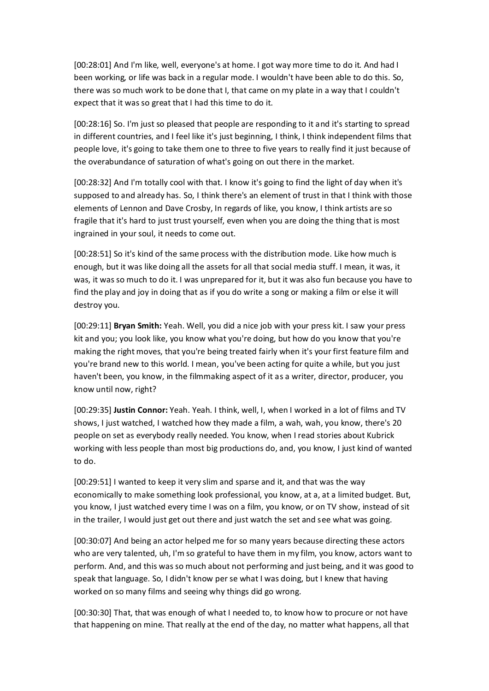[00:28:01] And I'm like, well, everyone's at home. I got way more time to do it. And had I been working, or life was back in a regular mode. I wouldn't have been able to do this. So, there was so much work to be done that I, that came on my plate in a way that I couldn't expect that it was so great that I had this time to do it.

[00:28:16] So. I'm just so pleased that people are responding to it and it's starting to spread in different countries, and I feel like it's just beginning, I think, I think independent films that people love, it's going to take them one to three to five years to really find it just because of the overabundance of saturation of what's going on out there in the market.

[00:28:32] And I'm totally cool with that. I know it's going to find the light of day when it's supposed to and already has. So, I think there's an element of trust in that I think with those elements of Lennon and Dave Crosby, In regards of like, you know, I think artists are so fragile that it's hard to just trust yourself, even when you are doing the thing that is most ingrained in your soul, it needs to come out.

[00:28:51] So it's kind of the same process with the distribution mode. Like how much is enough, but it was like doing all the assets for all that social media stuff. I mean, it was, it was, it was so much to do it. I was unprepared for it, but it was also fun because you have to find the play and joy in doing that as if you do write a song or making a film or else it will destroy you.

[00:29:11] **Bryan Smith:** Yeah. Well, you did a nice job with your press kit. I saw your press kit and you; you look like, you know what you're doing, but how do you know that you're making the right moves, that you're being treated fairly when it's your first feature film and you're brand new to this world. I mean, you've been acting for quite a while, but you just haven't been, you know, in the filmmaking aspect of it as a writer, director, producer, you know until now, right?

[00:29:35] **Justin Connor:** Yeah. Yeah. I think, well, I, when I worked in a lot of films and TV shows, I just watched, I watched how they made a film, a wah, wah, you know, there's 20 people on set as everybody really needed. You know, when I read stories about Kubrick working with less people than most big productions do, and, you know, I just kind of wanted to do.

[00:29:51] I wanted to keep it very slim and sparse and it, and that was the way economically to make something look professional, you know, at a, at a limited budget. But, you know, I just watched every time I was on a film, you know, or on TV show, instead of sit in the trailer, I would just get out there and just watch the set and see what was going.

[00:30:07] And being an actor helped me for so many years because directing these actors who are very talented, uh, I'm so grateful to have them in my film, you know, actors want to perform. And, and this was so much about not performing and just being, and it was good to speak that language. So, I didn't know per se what I was doing, but I knew that having worked on so many films and seeing why things did go wrong.

[00:30:30] That, that was enough of what I needed to, to know how to procure or not have that happening on mine. That really at the end of the day, no matter what happens, all that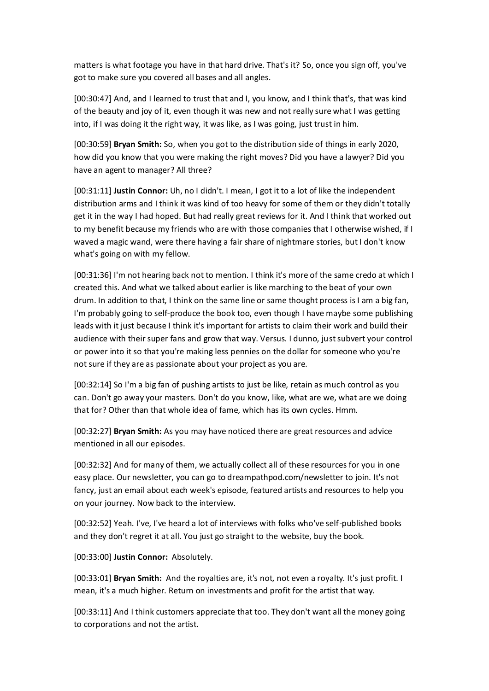matters is what footage you have in that hard drive. That's it? So, once you sign off, you've got to make sure you covered all bases and all angles.

[00:30:47] And, and I learned to trust that and I, you know, and I think that's, that was kind of the beauty and joy of it, even though it was new and not really sure what I was getting into, if I was doing it the right way, it was like, as I was going, just trust in him.

[00:30:59] **Bryan Smith:** So, when you got to the distribution side of things in early 2020, how did you know that you were making the right moves? Did you have a lawyer? Did you have an agent to manager? All three?

[00:31:11] **Justin Connor:** Uh, no I didn't. I mean, I got it to a lot of like the independent distribution arms and I think it was kind of too heavy for some of them or they didn't totally get it in the way I had hoped. But had really great reviews for it. And I think that worked out to my benefit because my friends who are with those companies that I otherwise wished, if I waved a magic wand, were there having a fair share of nightmare stories, but I don't know what's going on with my fellow.

[00:31:36] I'm not hearing back not to mention. I think it's more of the same credo at which I created this. And what we talked about earlier is like marching to the beat of your own drum. In addition to that, I think on the same line or same thought process is I am a big fan, I'm probably going to self-produce the book too, even though I have maybe some publishing leads with it just because I think it's important for artists to claim their work and build their audience with their super fans and grow that way. Versus. I dunno, just subvert your control or power into it so that you're making less pennies on the dollar for someone who you're not sure if they are as passionate about your project as you are.

[00:32:14] So I'm a big fan of pushing artists to just be like, retain as much control as you can. Don't go away your masters. Don't do you know, like, what are we, what are we doing that for? Other than that whole idea of fame, which has its own cycles. Hmm.

[00:32:27] **Bryan Smith:** As you may have noticed there are great resources and advice mentioned in all our episodes.

[00:32:32] And for many of them, we actually collect all of these resources for you in one easy place. Our newsletter, you can go to dreampathpod.com/newsletter to join. It's not fancy, just an email about each week's episode, featured artists and resources to help you on your journey. Now back to the interview.

[00:32:52] Yeah. I've, I've heard a lot of interviews with folks who've self-published books and they don't regret it at all. You just go straight to the website, buy the book.

[00:33:00] **Justin Connor:** Absolutely.

[00:33:01] **Bryan Smith:** And the royalties are, it's not, not even a royalty. It's just profit. I mean, it's a much higher. Return on investments and profit for the artist that way.

[00:33:11] And I think customers appreciate that too. They don't want all the money going to corporations and not the artist.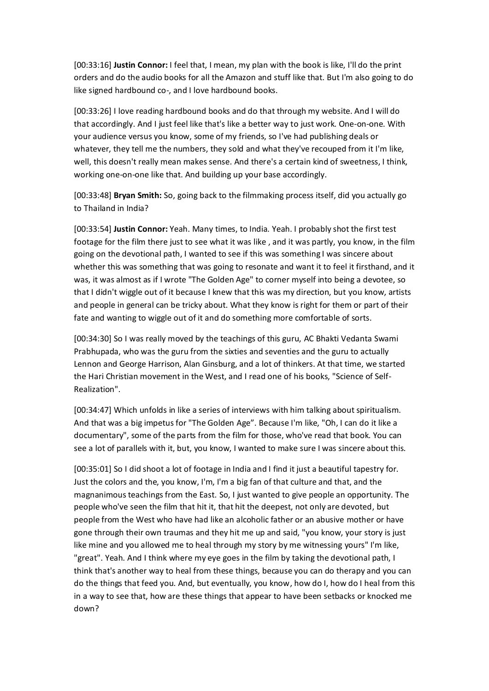[00:33:16] **Justin Connor:** I feel that, I mean, my plan with the book is like, I'll do the print orders and do the audio books for all the Amazon and stuff like that. But I'm also going to do like signed hardbound co-, and I love hardbound books.

[00:33:26] I love reading hardbound books and do that through my website. And I will do that accordingly. And I just feel like that's like a better way to just work. One-on-one. With your audience versus you know, some of my friends, so I've had publishing deals or whatever, they tell me the numbers, they sold and what they've recouped from it I'm like, well, this doesn't really mean makes sense. And there's a certain kind of sweetness, I think, working one-on-one like that. And building up your base accordingly.

[00:33:48] **Bryan Smith:** So, going back to the filmmaking process itself, did you actually go to Thailand in India?

[00:33:54] **Justin Connor:** Yeah. Many times, to India. Yeah. I probably shot the first test footage for the film there just to see what it was like , and it was partly, you know, in the film going on the devotional path, I wanted to see if this was something I was sincere about whether this was something that was going to resonate and want it to feel it firsthand, and it was, it was almost as if I wrote "The Golden Age" to corner myself into being a devotee, so that I didn't wiggle out of it because I knew that this was my direction, but you know, artists and people in general can be tricky about. What they know is right for them or part of their fate and wanting to wiggle out of it and do something more comfortable of sorts.

[00:34:30] So I was really moved by the teachings of this guru, AC Bhakti Vedanta Swami Prabhupada, who was the guru from the sixties and seventies and the guru to actually Lennon and George Harrison, Alan Ginsburg, and a lot of thinkers. At that time, we started the Hari Christian movement in the West, and I read one of his books, "Science of Self-Realization".

[00:34:47] Which unfolds in like a series of interviews with him talking about spiritualism. And that was a big impetus for "The Golden Age". Because I'm like, "Oh, I can do it like a documentary", some of the parts from the film for those, who've read that book. You can see a lot of parallels with it, but, you know, I wanted to make sure I was sincere about this.

[00:35:01] So I did shoot a lot of footage in India and I find it just a beautiful tapestry for. Just the colors and the, you know, I'm, I'm a big fan of that culture and that, and the magnanimous teachings from the East. So, I just wanted to give people an opportunity. The people who've seen the film that hit it, that hit the deepest, not only are devoted, but people from the West who have had like an alcoholic father or an abusive mother or have gone through their own traumas and they hit me up and said, "you know, your story is just like mine and you allowed me to heal through my story by me witnessing yours" I'm like, "great". Yeah. And I think where my eye goes in the film by taking the devotional path, I think that's another way to heal from these things, because you can do therapy and you can do the things that feed you. And, but eventually, you know, how do I, how do I heal from this in a way to see that, how are these things that appear to have been setbacks or knocked me down?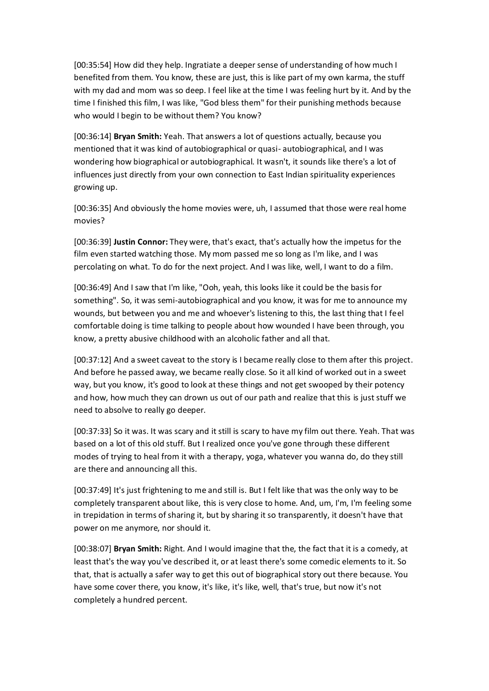[00:35:54] How did they help. Ingratiate a deeper sense of understanding of how much I benefited from them. You know, these are just, this is like part of my own karma, the stuff with my dad and mom was so deep. I feel like at the time I was feeling hurt by it. And by the time I finished this film, I was like, "God bless them" for their punishing methods because who would I begin to be without them? You know?

[00:36:14] **Bryan Smith:** Yeah. That answers a lot of questions actually, because you mentioned that it was kind of autobiographical or quasi- autobiographical, and I was wondering how biographical or autobiographical. It wasn't, it sounds like there's a lot of influences just directly from your own connection to East Indian spirituality experiences growing up.

[00:36:35] And obviously the home movies were, uh, I assumed that those were real home movies?

[00:36:39] **Justin Connor:** They were, that's exact, that's actually how the impetus for the film even started watching those. My mom passed me so long as I'm like, and I was percolating on what. To do for the next project. And I was like, well, I want to do a film.

[00:36:49] And I saw that I'm like, "Ooh, yeah, this looks like it could be the basis for something". So, it was semi-autobiographical and you know, it was for me to announce my wounds, but between you and me and whoever's listening to this, the last thing that I feel comfortable doing is time talking to people about how wounded I have been through, you know, a pretty abusive childhood with an alcoholic father and all that.

[00:37:12] And a sweet caveat to the story is I became really close to them after this project. And before he passed away, we became really close. So it all kind of worked out in a sweet way, but you know, it's good to look at these things and not get swooped by their potency and how, how much they can drown us out of our path and realize that this is just stuff we need to absolve to really go deeper.

[00:37:33] So it was. It was scary and it still is scary to have my film out there. Yeah. That was based on a lot of this old stuff. But I realized once you've gone through these different modes of trying to heal from it with a therapy, yoga, whatever you wanna do, do they still are there and announcing all this.

[00:37:49] It's just frightening to me and still is. But I felt like that was the only way to be completely transparent about like, this is very close to home. And, um, I'm, I'm feeling some in trepidation in terms of sharing it, but by sharing it so transparently, it doesn't have that power on me anymore, nor should it.

[00:38:07] **Bryan Smith:** Right. And I would imagine that the, the fact that it is a comedy, at least that's the way you've described it, or at least there's some comedic elements to it. So that, that is actually a safer way to get this out of biographical story out there because. You have some cover there, you know, it's like, it's like, well, that's true, but now it's not completely a hundred percent.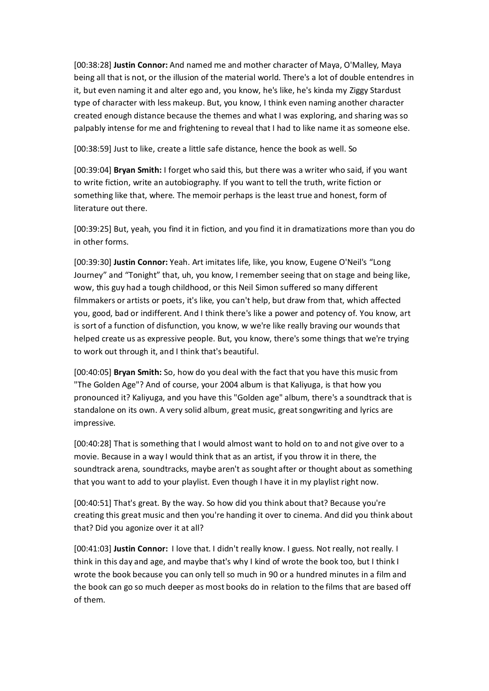[00:38:28] **Justin Connor:** And named me and mother character of Maya, O'Malley, Maya being all that is not, or the illusion of the material world. There's a lot of double entendres in it, but even naming it and alter ego and, you know, he's like, he's kinda my Ziggy Stardust type of character with less makeup. But, you know, I think even naming another character created enough distance because the themes and what I was exploring, and sharing was so palpably intense for me and frightening to reveal that I had to like name it as someone else.

[00:38:59] Just to like, create a little safe distance, hence the book as well. So

[00:39:04] **Bryan Smith:** I forget who said this, but there was a writer who said, if you want to write fiction, write an autobiography. If you want to tell the truth, write fiction or something like that, where. The memoir perhaps is the least true and honest, form of literature out there.

[00:39:25] But, yeah, you find it in fiction, and you find it in dramatizations more than you do in other forms.

[00:39:30] **Justin Connor:** Yeah. Art imitates life, like, you know, Eugene O'Neil's "Long Journey" and "Tonight" that, uh, you know, I remember seeing that on stage and being like, wow, this guy had a tough childhood, or this Neil Simon suffered so many different filmmakers or artists or poets, it's like, you can't help, but draw from that, which affected you, good, bad or indifferent. And I think there's like a power and potency of. You know, art is sort of a function of disfunction, you know, w we're like really braving our wounds that helped create us as expressive people. But, you know, there's some things that we're trying to work out through it, and I think that's beautiful.

[00:40:05] **Bryan Smith:** So, how do you deal with the fact that you have this music from "The Golden Age"? And of course, your 2004 album is that Kaliyuga, is that how you pronounced it? Kaliyuga, and you have this "Golden age" album, there's a soundtrack that is standalone on its own. A very solid album, great music, great songwriting and lyrics are impressive.

[00:40:28] That is something that I would almost want to hold on to and not give over to a movie. Because in a way I would think that as an artist, if you throw it in there, the soundtrack arena, soundtracks, maybe aren't as sought after or thought about as something that you want to add to your playlist. Even though I have it in my playlist right now.

[00:40:51] That's great. By the way. So how did you think about that? Because you're creating this great music and then you're handing it over to cinema. And did you think about that? Did you agonize over it at all?

[00:41:03] **Justin Connor:** I love that. I didn't really know. I guess. Not really, not really. I think in this day and age, and maybe that's why I kind of wrote the book too, but I think I wrote the book because you can only tell so much in 90 or a hundred minutes in a film and the book can go so much deeper as most books do in relation to the films that are based off of them.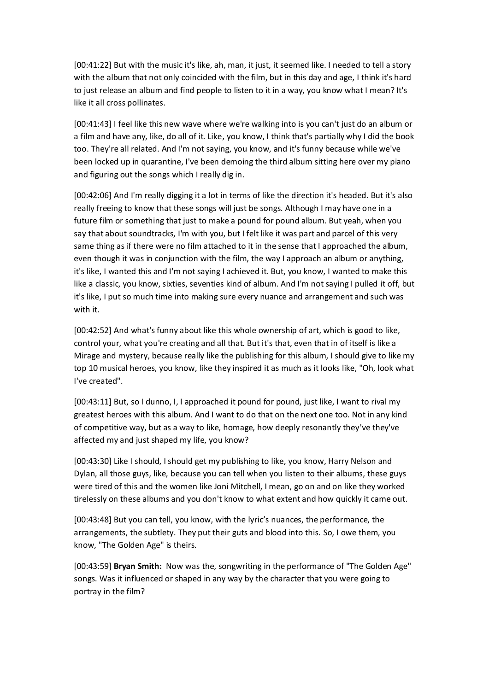[00:41:22] But with the music it's like, ah, man, it just, it seemed like. I needed to tell a story with the album that not only coincided with the film, but in this day and age, I think it's hard to just release an album and find people to listen to it in a way, you know what I mean? It's like it all cross pollinates.

[00:41:43] I feel like this new wave where we're walking into is you can't just do an album or a film and have any, like, do all of it. Like, you know, I think that's partially why I did the book too. They're all related. And I'm not saying, you know, and it's funny because while we've been locked up in quarantine, I've been demoing the third album sitting here over my piano and figuring out the songs which I really dig in.

[00:42:06] And I'm really digging it a lot in terms of like the direction it's headed. But it's also really freeing to know that these songs will just be songs. Although I may have one in a future film or something that just to make a pound for pound album. But yeah, when you say that about soundtracks, I'm with you, but I felt like it was part and parcel of this very same thing as if there were no film attached to it in the sense that I approached the album, even though it was in conjunction with the film, the way I approach an album or anything, it's like, I wanted this and I'm not saying I achieved it. But, you know, I wanted to make this like a classic, you know, sixties, seventies kind of album. And I'm not saying I pulled it off, but it's like, I put so much time into making sure every nuance and arrangement and such was with it.

[00:42:52] And what's funny about like this whole ownership of art, which is good to like, control your, what you're creating and all that. But it's that, even that in of itself is like a Mirage and mystery, because really like the publishing for this album, I should give to like my top 10 musical heroes, you know, like they inspired it as much as it looks like, "Oh, look what I've created".

[00:43:11] But, so I dunno, I, I approached it pound for pound, just like, I want to rival my greatest heroes with this album. And I want to do that on the next one too. Not in any kind of competitive way, but as a way to like, homage, how deeply resonantly they've they've affected my and just shaped my life, you know?

[00:43:30] Like I should, I should get my publishing to like, you know, Harry Nelson and Dylan, all those guys, like, because you can tell when you listen to their albums, these guys were tired of this and the women like Joni Mitchell, I mean, go on and on like they worked tirelessly on these albums and you don't know to what extent and how quickly it came out.

[00:43:48] But you can tell, you know, with the lyric's nuances, the performance, the arrangements, the subtlety. They put their guts and blood into this. So, I owe them, you know, "The Golden Age" is theirs.

[00:43:59] **Bryan Smith:** Now was the, songwriting in the performance of "The Golden Age" songs. Was it influenced or shaped in any way by the character that you were going to portray in the film?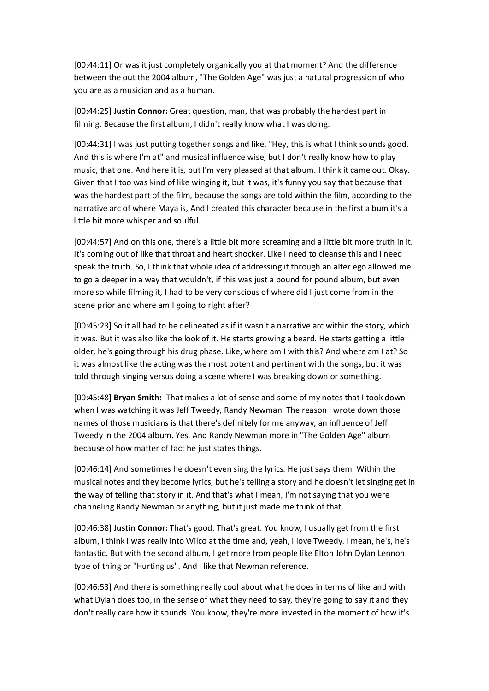[00:44:11] Or was it just completely organically you at that moment? And the difference between the out the 2004 album, "The Golden Age" was just a natural progression of who you are as a musician and as a human.

[00:44:25] **Justin Connor:** Great question, man, that was probably the hardest part in filming. Because the first album, I didn't really know what I was doing.

[00:44:31] I was just putting together songs and like, "Hey, this is what I think sounds good. And this is where I'm at" and musical influence wise, but I don't really know how to play music, that one. And here it is, but I'm very pleased at that album. I think it came out. Okay. Given that I too was kind of like winging it, but it was, it's funny you say that because that was the hardest part of the film, because the songs are told within the film, according to the narrative arc of where Maya is, And I created this character because in the first album it's a little bit more whisper and soulful.

[00:44:57] And on this one, there's a little bit more screaming and a little bit more truth in it. It's coming out of like that throat and heart shocker. Like I need to cleanse this and I need speak the truth. So, I think that whole idea of addressing it through an alter ego allowed me to go a deeper in a way that wouldn't, if this was just a pound for pound album, but even more so while filming it, I had to be very conscious of where did I just come from in the scene prior and where am I going to right after?

[00:45:23] So it all had to be delineated as if it wasn't a narrative arc within the story, which it was. But it was also like the look of it. He starts growing a beard. He starts getting a little older, he's going through his drug phase. Like, where am I with this? And where am I at? So it was almost like the acting was the most potent and pertinent with the songs, but it was told through singing versus doing a scene where I was breaking down or something.

[00:45:48] **Bryan Smith:** That makes a lot of sense and some of my notes that I took down when I was watching it was Jeff Tweedy, Randy Newman. The reason I wrote down those names of those musicians is that there's definitely for me anyway, an influence of Jeff Tweedy in the 2004 album. Yes. And Randy Newman more in "The Golden Age" album because of how matter of fact he just states things.

[00:46:14] And sometimes he doesn't even sing the lyrics. He just says them. Within the musical notes and they become lyrics, but he's telling a story and he doesn't let singing get in the way of telling that story in it. And that's what I mean, I'm not saying that you were channeling Randy Newman or anything, but it just made me think of that.

[00:46:38] **Justin Connor:** That's good. That's great. You know, I usually get from the first album, I think I was really into Wilco at the time and, yeah, I love Tweedy. I mean, he's, he's fantastic. But with the second album, I get more from people like Elton John Dylan Lennon type of thing or "Hurting us". And I like that Newman reference.

[00:46:53] And there is something really cool about what he does in terms of like and with what Dylan does too, in the sense of what they need to say, they're going to say it and they don't really care how it sounds. You know, they're more invested in the moment of how it's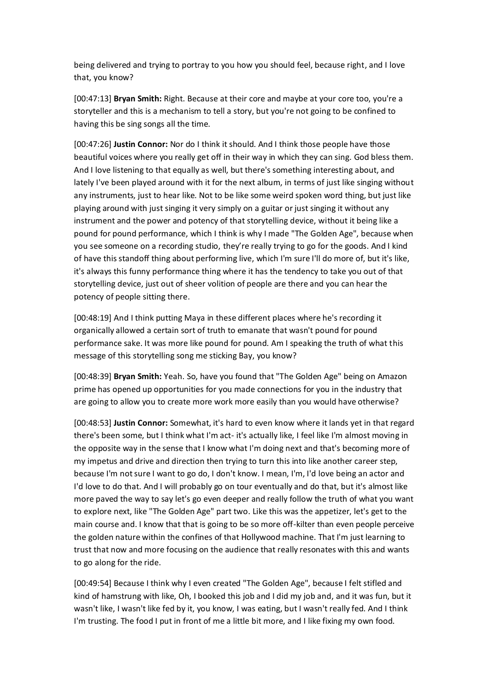being delivered and trying to portray to you how you should feel, because right, and I love that, you know?

[00:47:13] **Bryan Smith:** Right. Because at their core and maybe at your core too, you're a storyteller and this is a mechanism to tell a story, but you're not going to be confined to having this be sing songs all the time.

[00:47:26] **Justin Connor:** Nor do I think it should. And I think those people have those beautiful voices where you really get off in their way in which they can sing. God bless them. And I love listening to that equally as well, but there's something interesting about, and lately I've been played around with it for the next album, in terms of just like singing without any instruments, just to hear like. Not to be like some weird spoken word thing, but just like playing around with just singing it very simply on a guitar or just singing it without any instrument and the power and potency of that storytelling device, without it being like a pound for pound performance, which I think is why I made "The Golden Age", because when you see someone on a recording studio, they're really trying to go for the goods. And I kind of have this standoff thing about performing live, which I'm sure I'll do more of, but it's like, it's always this funny performance thing where it has the tendency to take you out of that storytelling device, just out of sheer volition of people are there and you can hear the potency of people sitting there.

[00:48:19] And I think putting Maya in these different places where he's recording it organically allowed a certain sort of truth to emanate that wasn't pound for pound performance sake. It was more like pound for pound. Am I speaking the truth of what this message of this storytelling song me sticking Bay, you know?

[00:48:39] **Bryan Smith:** Yeah. So, have you found that "The Golden Age" being on Amazon prime has opened up opportunities for you made connections for you in the industry that are going to allow you to create more work more easily than you would have otherwise?

[00:48:53] **Justin Connor:** Somewhat, it's hard to even know where it lands yet in that regard there's been some, but I think what I'm act- it's actually like, I feel like I'm almost moving in the opposite way in the sense that I know what I'm doing next and that's becoming more of my impetus and drive and direction then trying to turn this into like another career step, because I'm not sure I want to go do, I don't know. I mean, I'm, I'd love being an actor and I'd love to do that. And I will probably go on tour eventually and do that, but it's almost like more paved the way to say let's go even deeper and really follow the truth of what you want to explore next, like "The Golden Age" part two. Like this was the appetizer, let's get to the main course and. I know that that is going to be so more off-kilter than even people perceive the golden nature within the confines of that Hollywood machine. That I'm just learning to trust that now and more focusing on the audience that really resonates with this and wants to go along for the ride.

[00:49:54] Because I think why I even created "The Golden Age", because I felt stifled and kind of hamstrung with like, Oh, I booked this job and I did my job and, and it was fun, but it wasn't like, I wasn't like fed by it, you know, I was eating, but I wasn't really fed. And I think I'm trusting. The food I put in front of me a little bit more, and I like fixing my own food.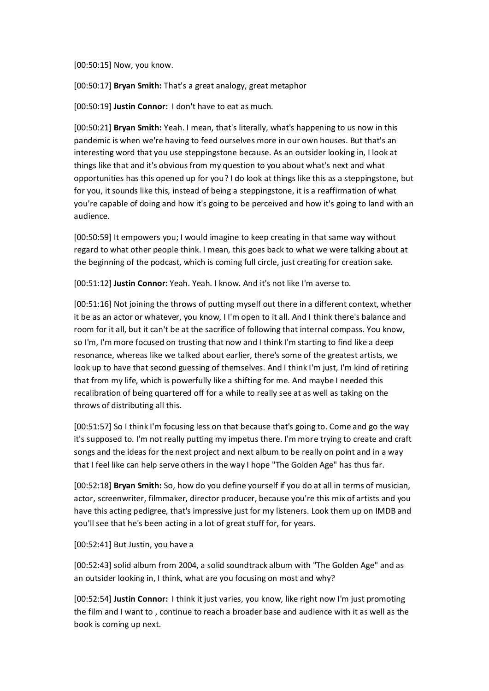[00:50:15] Now, you know.

[00:50:17] **Bryan Smith:** That's a great analogy, great metaphor

[00:50:19] **Justin Connor:** I don't have to eat as much.

[00:50:21] **Bryan Smith:** Yeah. I mean, that's literally, what's happening to us now in this pandemic is when we're having to feed ourselves more in our own houses. But that's an interesting word that you use steppingstone because. As an outsider looking in, I look at things like that and it's obvious from my question to you about what's next and what opportunities has this opened up for you? I do look at things like this as a steppingstone, but for you, it sounds like this, instead of being a steppingstone, it is a reaffirmation of what you're capable of doing and how it's going to be perceived and how it's going to land with an audience.

[00:50:59] It empowers you; I would imagine to keep creating in that same way without regard to what other people think. I mean, this goes back to what we were talking about at the beginning of the podcast, which is coming full circle, just creating for creation sake.

[00:51:12] **Justin Connor:** Yeah. Yeah. I know. And it's not like I'm averse to.

[00:51:16] Not joining the throws of putting myself out there in a different context, whether it be as an actor or whatever, you know, I I'm open to it all. And I think there's balance and room for it all, but it can't be at the sacrifice of following that internal compass. You know, so I'm, I'm more focused on trusting that now and I think I'm starting to find like a deep resonance, whereas like we talked about earlier, there's some of the greatest artists, we look up to have that second guessing of themselves. And I think I'm just, I'm kind of retiring that from my life, which is powerfully like a shifting for me. And maybe I needed this recalibration of being quartered off for a while to really see at as well as taking on the throws of distributing all this.

[00:51:57] So I think I'm focusing less on that because that's going to. Come and go the way it's supposed to. I'm not really putting my impetus there. I'm more trying to create and craft songs and the ideas for the next project and next album to be really on point and in a way that I feel like can help serve others in the way I hope "The Golden Age" has thus far.

[00:52:18] **Bryan Smith:** So, how do you define yourself if you do at all in terms of musician, actor, screenwriter, filmmaker, director producer, because you're this mix of artists and you have this acting pedigree, that's impressive just for my listeners. Look them up on IMDB and you'll see that he's been acting in a lot of great stuff for, for years.

## [00:52:41] But Justin, you have a

[00:52:43] solid album from 2004, a solid soundtrack album with "The Golden Age" and as an outsider looking in, I think, what are you focusing on most and why?

[00:52:54] **Justin Connor:** I think it just varies, you know, like right now I'm just promoting the film and I want to , continue to reach a broader base and audience with it as well as the book is coming up next.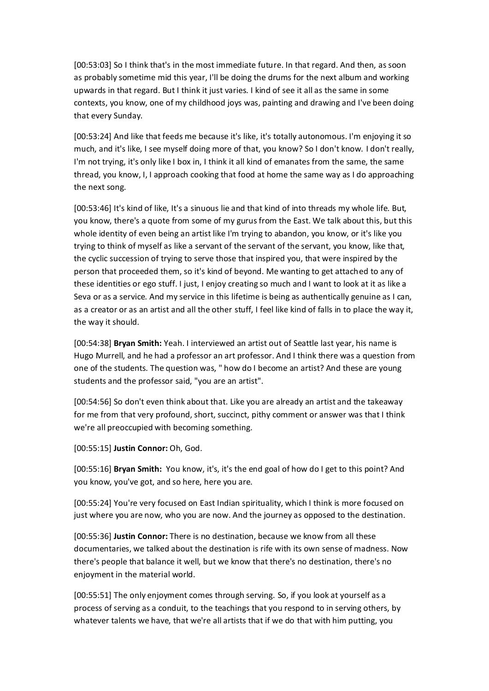[00:53:03] So I think that's in the most immediate future. In that regard. And then, as soon as probably sometime mid this year, I'll be doing the drums for the next album and working upwards in that regard. But I think it just varies. I kind of see it all as the same in some contexts, you know, one of my childhood joys was, painting and drawing and I've been doing that every Sunday.

[00:53:24] And like that feeds me because it's like, it's totally autonomous. I'm enjoying it so much, and it's like, I see myself doing more of that, you know? So I don't know. I don't really, I'm not trying, it's only like I box in, I think it all kind of emanates from the same, the same thread, you know, I, I approach cooking that food at home the same way as I do approaching the next song.

[00:53:46] It's kind of like, It's a sinuous lie and that kind of into threads my whole life. But, you know, there's a quote from some of my gurus from the East. We talk about this, but this whole identity of even being an artist like I'm trying to abandon, you know, or it's like you trying to think of myself as like a servant of the servant of the servant, you know, like that, the cyclic succession of trying to serve those that inspired you, that were inspired by the person that proceeded them, so it's kind of beyond. Me wanting to get attached to any of these identities or ego stuff. I just, I enjoy creating so much and I want to look at it as like a Seva or as a service. And my service in this lifetime is being as authentically genuine as I can, as a creator or as an artist and all the other stuff, I feel like kind of falls in to place the way it, the way it should.

[00:54:38] **Bryan Smith:** Yeah. I interviewed an artist out of Seattle last year, his name is Hugo Murrell, and he had a professor an art professor. And I think there was a question from one of the students. The question was, " how do I become an artist? And these are young students and the professor said, "you are an artist".

[00:54:56] So don't even think about that. Like you are already an artist and the takeaway for me from that very profound, short, succinct, pithy comment or answer was that I think we're all preoccupied with becoming something.

[00:55:15] **Justin Connor:** Oh, God.

[00:55:16] **Bryan Smith:** You know, it's, it's the end goal of how do I get to this point? And you know, you've got, and so here, here you are.

[00:55:24] You're very focused on East Indian spirituality, which I think is more focused on just where you are now, who you are now. And the journey as opposed to the destination.

[00:55:36] **Justin Connor:** There is no destination, because we know from all these documentaries, we talked about the destination is rife with its own sense of madness. Now there's people that balance it well, but we know that there's no destination, there's no enjoyment in the material world.

[00:55:51] The only enjoyment comes through serving. So, if you look at yourself as a process of serving as a conduit, to the teachings that you respond to in serving others, by whatever talents we have, that we're all artists that if we do that with him putting, you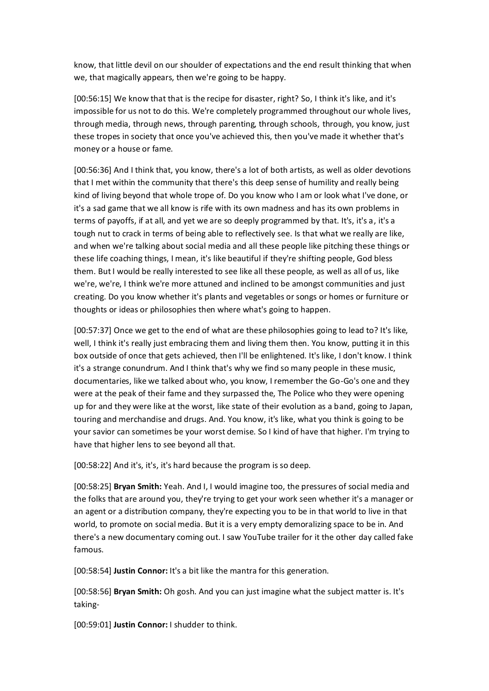know, that little devil on our shoulder of expectations and the end result thinking that when we, that magically appears, then we're going to be happy.

[00:56:15] We know that that is the recipe for disaster, right? So, I think it's like, and it's impossible for us not to do this. We're completely programmed throughout our whole lives, through media, through news, through parenting, through schools, through, you know, just these tropes in society that once you've achieved this, then you've made it whether that's money or a house or fame.

[00:56:36] And I think that, you know, there's a lot of both artists, as well as older devotions that I met within the community that there's this deep sense of humility and really being kind of living beyond that whole trope of. Do you know who I am or look what I've done, or it's a sad game that we all know is rife with its own madness and has its own problems in terms of payoffs, if at all, and yet we are so deeply programmed by that. It's, it's a, it's a tough nut to crack in terms of being able to reflectively see. Is that what we really are like, and when we're talking about social media and all these people like pitching these things or these life coaching things, I mean, it's like beautiful if they're shifting people, God bless them. But I would be really interested to see like all these people, as well as all of us, like we're, we're, I think we're more attuned and inclined to be amongst communities and just creating. Do you know whether it's plants and vegetables or songs or homes or furniture or thoughts or ideas or philosophies then where what's going to happen.

[00:57:37] Once we get to the end of what are these philosophies going to lead to? It's like, well, I think it's really just embracing them and living them then. You know, putting it in this box outside of once that gets achieved, then I'll be enlightened. It's like, I don't know. I think it's a strange conundrum. And I think that's why we find so many people in these music, documentaries, like we talked about who, you know, I remember the Go-Go's one and they were at the peak of their fame and they surpassed the, The Police who they were opening up for and they were like at the worst, like state of their evolution as a band, going to Japan, touring and merchandise and drugs. And. You know, it's like, what you think is going to be your savior can sometimes be your worst demise. So I kind of have that higher. I'm trying to have that higher lens to see beyond all that.

[00:58:22] And it's, it's, it's hard because the program is so deep.

[00:58:25] **Bryan Smith:** Yeah. And I, I would imagine too, the pressures of social media and the folks that are around you, they're trying to get your work seen whether it's a manager or an agent or a distribution company, they're expecting you to be in that world to live in that world, to promote on social media. But it is a very empty demoralizing space to be in. And there's a new documentary coming out. I saw YouTube trailer for it the other day called fake famous.

[00:58:54] **Justin Connor:** It's a bit like the mantra for this generation.

[00:58:56] **Bryan Smith:** Oh gosh. And you can just imagine what the subject matter is. It's taking-

[00:59:01] **Justin Connor:** I shudder to think.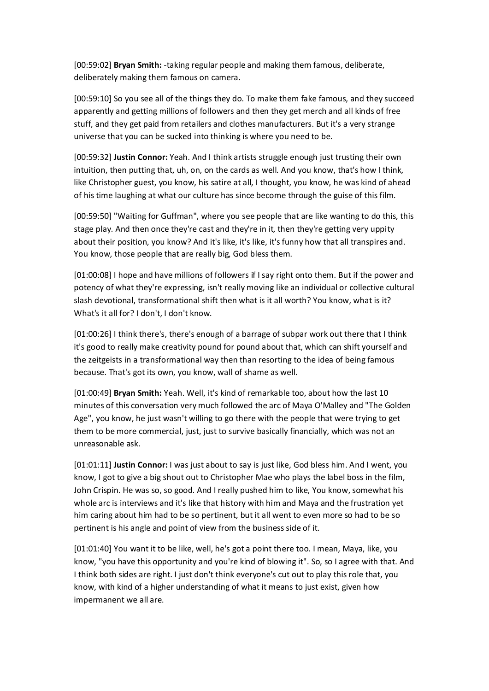[00:59:02] **Bryan Smith:** -taking regular people and making them famous, deliberate, deliberately making them famous on camera.

[00:59:10] So you see all of the things they do. To make them fake famous, and they succeed apparently and getting millions of followers and then they get merch and all kinds of free stuff, and they get paid from retailers and clothes manufacturers. But it's a very strange universe that you can be sucked into thinking is where you need to be.

[00:59:32] **Justin Connor:** Yeah. And I think artists struggle enough just trusting their own intuition, then putting that, uh, on, on the cards as well. And you know, that's how I think, like Christopher guest, you know, his satire at all, I thought, you know, he was kind of ahead of his time laughing at what our culture has since become through the guise of this film.

[00:59:50] "Waiting for Guffman", where you see people that are like wanting to do this, this stage play. And then once they're cast and they're in it, then they're getting very uppity about their position, you know? And it's like, it's like, it's funny how that all transpires and. You know, those people that are really big, God bless them.

[01:00:08] I hope and have millions of followers if I say right onto them. But if the power and potency of what they're expressing, isn't really moving like an individual or collective cultural slash devotional, transformational shift then what is it all worth? You know, what is it? What's it all for? I don't, I don't know.

[01:00:26] I think there's, there's enough of a barrage of subpar work out there that I think it's good to really make creativity pound for pound about that, which can shift yourself and the zeitgeists in a transformational way then than resorting to the idea of being famous because. That's got its own, you know, wall of shame as well.

[01:00:49] **Bryan Smith:** Yeah. Well, it's kind of remarkable too, about how the last 10 minutes of this conversation very much followed the arc of Maya O'Malley and "The Golden Age", you know, he just wasn't willing to go there with the people that were trying to get them to be more commercial, just, just to survive basically financially, which was not an unreasonable ask.

[01:01:11] **Justin Connor:** I was just about to say is just like, God bless him. And I went, you know, I got to give a big shout out to Christopher Mae who plays the label boss in the film, John Crispin. He was so, so good. And I really pushed him to like, You know, somewhat his whole arc is interviews and it's like that history with him and Maya and the frustration yet him caring about him had to be so pertinent, but it all went to even more so had to be so pertinent is his angle and point of view from the business side of it.

[01:01:40] You want it to be like, well, he's got a point there too. I mean, Maya, like, you know, "you have this opportunity and you're kind of blowing it". So, so I agree with that. And I think both sides are right. I just don't think everyone's cut out to play this role that, you know, with kind of a higher understanding of what it means to just exist, given how impermanent we all are.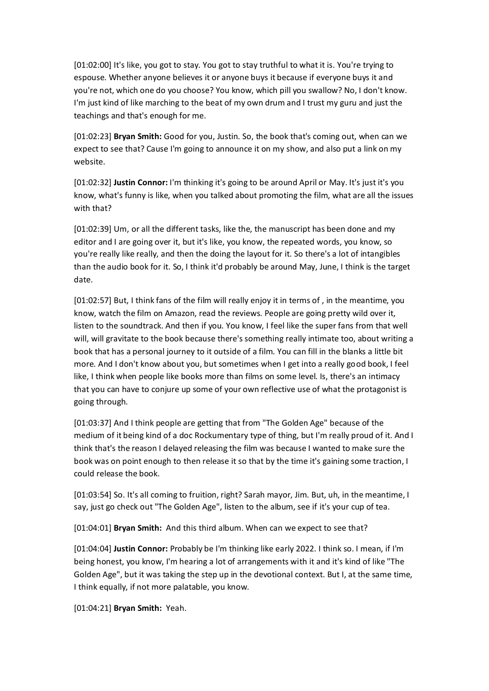[01:02:00] It's like, you got to stay. You got to stay truthful to what it is. You're trying to espouse. Whether anyone believes it or anyone buys it because if everyone buys it and you're not, which one do you choose? You know, which pill you swallow? No, I don't know. I'm just kind of like marching to the beat of my own drum and I trust my guru and just the teachings and that's enough for me.

[01:02:23] **Bryan Smith:** Good for you, Justin. So, the book that's coming out, when can we expect to see that? Cause I'm going to announce it on my show, and also put a link on my website.

[01:02:32] **Justin Connor:** I'm thinking it's going to be around April or May. It's just it's you know, what's funny is like, when you talked about promoting the film, what are all the issues with that?

[01:02:39] Um, or all the different tasks, like the, the manuscript has been done and my editor and I are going over it, but it's like, you know, the repeated words, you know, so you're really like really, and then the doing the layout for it. So there's a lot of intangibles than the audio book for it. So, I think it'd probably be around May, June, I think is the target date.

[01:02:57] But, I think fans of the film will really enjoy it in terms of , in the meantime, you know, watch the film on Amazon, read the reviews. People are going pretty wild over it, listen to the soundtrack. And then if you. You know, I feel like the super fans from that well will, will gravitate to the book because there's something really intimate too, about writing a book that has a personal journey to it outside of a film. You can fill in the blanks a little bit more. And I don't know about you, but sometimes when I get into a really good book, I feel like, I think when people like books more than films on some level. Is, there's an intimacy that you can have to conjure up some of your own reflective use of what the protagonist is going through.

[01:03:37] And I think people are getting that from "The Golden Age" because of the medium of it being kind of a doc Rockumentary type of thing, but I'm really proud of it. And I think that's the reason I delayed releasing the film was because I wanted to make sure the book was on point enough to then release it so that by the time it's gaining some traction, I could release the book.

[01:03:54] So. It's all coming to fruition, right? Sarah mayor, Jim. But, uh, in the meantime, I say, just go check out "The Golden Age", listen to the album, see if it's your cup of tea.

[01:04:01] **Bryan Smith:** And this third album. When can we expect to see that?

[01:04:04] **Justin Connor:** Probably be I'm thinking like early 2022. I think so. I mean, if I'm being honest, you know, I'm hearing a lot of arrangements with it and it's kind of like "The Golden Age", but it was taking the step up in the devotional context. But I, at the same time, I think equally, if not more palatable, you know.

[01:04:21] **Bryan Smith:** Yeah.